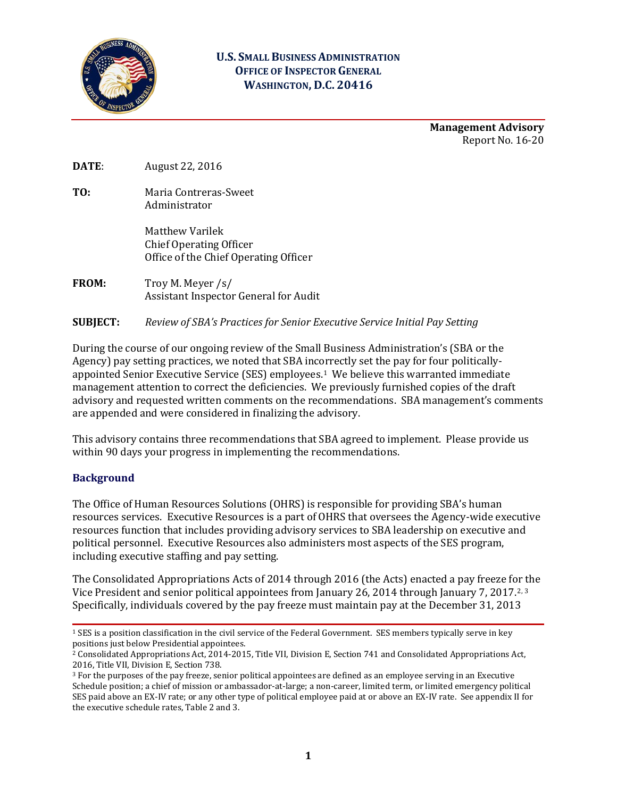

#### **U.S. SMALL BUSINESS ADMINISTRATION OFFICE OF INSPECTOR GENERAL WASHINGTON, D.C. 20416**

**Management Advisory** Report No. 16-20

**DATE**: August 22, 2016

**TO:** Maria Contreras-Sweet Administrator

> Matthew Varilek Chief Operating Officer Office of the Chief Operating Officer

- **FROM:** Troy M. Meyer /s/ Assistant Inspector General for Audit
- **SUBJECT:** *Review of SBA's Practices for Senior Executive Service Initial Pay Setting*

During the course of our ongoing review of the Small Business Administration's (SBA or the Agency) pay setting practices, we noted that SBA incorrectly set the pay for four politicallyappointed Senior Executive Service (SES) employees.[1](#page-0-0) We believe this warranted immediate management attention to correct the deficiencies. We previously furnished copies of the draft advisory and requested written comments on the recommendations. SBA management's comments are appended and were considered in finalizing the advisory.

This advisory contains three recommendations that SBA agreed to implement. Please provide us within 90 days your progress in implementing the recommendations.

#### **Background**

The Office of Human Resources Solutions (OHRS) is responsible for providing SBA's human resources services. Executive Resources is a part of OHRS that oversees the Agency-wide executive resources function that includes providing advisory services to SBA leadership on executive and political personnel. Executive Resources also administers most aspects of the SES program, including executive staffing and pay setting.

The Consolidated Appropriations Acts of 2014 through 2016 (the Acts) enacted a pay freeze for the Vice President and senior political appointees from January [2](#page-0-1)6, 2014 through January 7, 2017.<sup>2, 3</sup> Specifically, individuals covered by the pay freeze must maintain pay at the December 31, 2013

<span id="page-0-0"></span><sup>1</sup> SES is a position classification in the civil service of the Federal Government. SES members typically serve in key positions just below Presidential appointees.

<span id="page-0-1"></span><sup>&</sup>lt;sup>2</sup> Consolidated Appropriations Act, 2014-2015, Title VII, Division E, Section 741 and Consolidated Appropriations Act, 2016, Title VII, Division E, Section 738.

<span id="page-0-2"></span><sup>&</sup>lt;sup>3</sup> For the purposes of the pay freeze, senior political appointees are defined as an employee serving in an Executive Schedule position; a chief of mission or ambassador-at-large; a non-career, limited term, or limited emergency political SES paid above an EX-IV rate; or any other type of political employee paid at or above an EX-IV rate. See appendix II for the executive schedule rates, Table 2 and 3.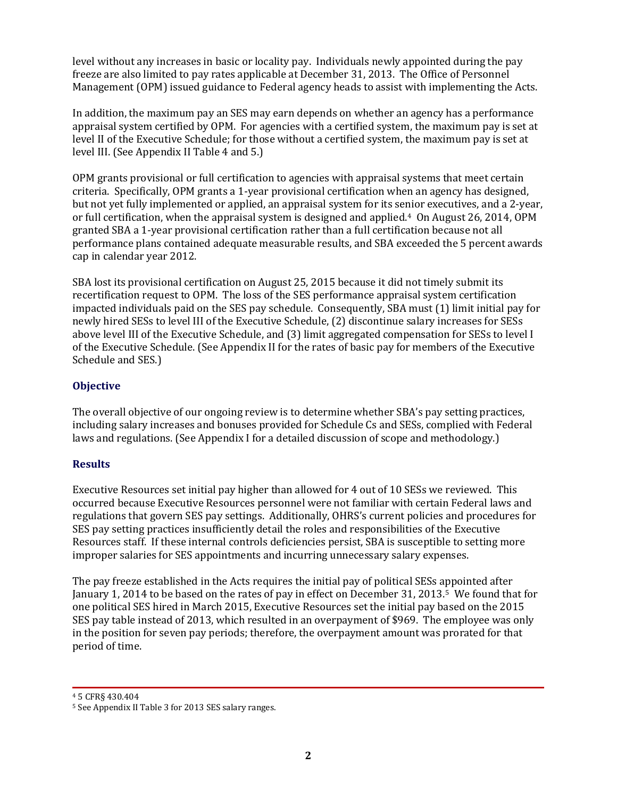level without any increases in basic or locality pay. Individuals newly appointed during the pay freeze are also limited to pay rates applicable at December 31, 2013. The Office of Personnel Management (OPM) issued guidance to Federal agency heads to assist with implementing the Acts.

In addition, the maximum pay an SES may earn depends on whether an agency has a performance appraisal system certified by OPM. For agencies with a certified system, the maximum pay is set at level II of th[e Executive Schedule;](https://en.wikipedia.org/wiki/Executive_Schedule) for those without a certified system, the maximum pay is set at level III. (See Appendix II Table 4 and 5.)

OPM grants provisional or full certification to agencies with appraisal systems that meet certain criteria. Specifically, OPM grants a 1-year provisional certification when an agency has designed, but not yet fully implemented or applied, an appraisal system for its senior executives, and a 2-year, or full certification, when the appraisal system is designed and applied.[4](#page-1-0) On August 26, 2014, OPM granted SBA a 1-year provisional certification rather than a full certification because not all performance plans contained adequate measurable results, and SBA exceeded the 5 percent awards cap in calendar year 2012.

SBA lost its provisional certification on August 25, 2015 because it did not timely submit its recertification request to OPM. The loss of the SES performance appraisal system certification impacted individuals paid on the SES pay schedule. Consequently, SBA must (1) limit initial pay for newly hired SESs to level III of the Executive Schedule, (2) discontinue salary increases for SESs above level III of the Executive Schedule, and (3) limit aggregated compensation for SESs to level I of the Executive Schedule. (See Appendix II for the rates of basic pay for members of the Executive Schedule and SES.)

#### **Objective**

The overall objective of our ongoing review is to determine whether SBA's pay setting practices, including salary increases and bonuses provided for Schedule Cs and SESs, complied with Federal laws and regulations. (See Appendix I for a detailed discussion of scope and methodology.)

#### **Results**

Executive Resources set initial pay higher than allowed for 4 out of 10 SESs we reviewed. This occurred because Executive Resources personnel were not familiar with certain Federal laws and regulations that govern SES pay settings. Additionally, OHRS's current policies and procedures for SES pay setting practices insufficiently detail the roles and responsibilities of the Executive Resources staff. If these internal controls deficiencies persist, SBA is susceptible to setting more improper salaries for SES appointments and incurring unnecessary salary expenses.

The pay freeze established in the Acts requires the initial pay of political SESs appointed after January 1, 2014 to be based on the rates of pay in effect on December 31, 2013.[5](#page-1-1) We found that for one political SES hired in March 2015, Executive Resources set the initial pay based on the 2015 SES pay table instead of 2013, which resulted in an overpayment of \$969. The employee was only in the position for seven pay periods; therefore, the overpayment amount was prorated for that period of time.

<span id="page-1-0"></span><sup>4</sup> 5 CFR§ 430.404

<span id="page-1-1"></span><sup>5</sup> See Appendix II Table 3 for 2013 SES salary ranges.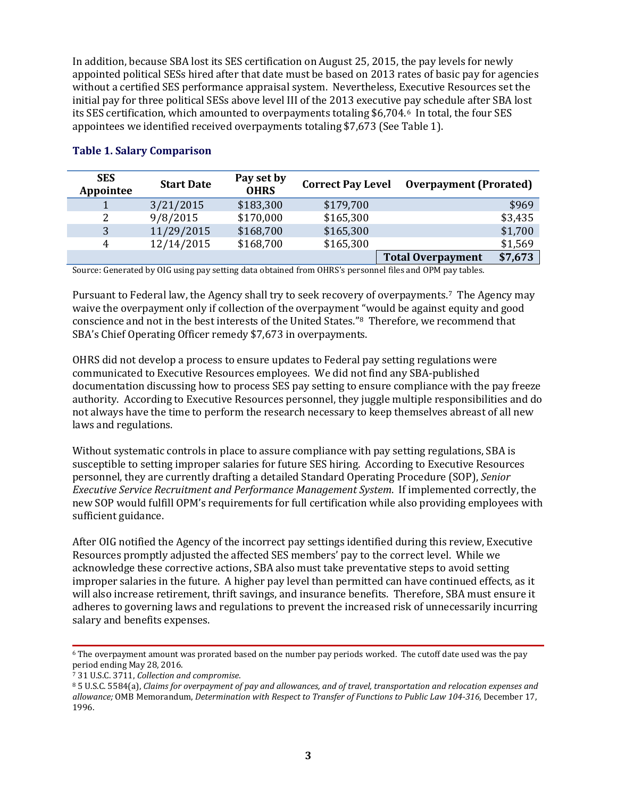In addition, because SBA lost its SES certification on August 25, 2015, the pay levels for newly appointed political SESs hired after that date must be based on 2013 rates of basic pay for agencies without a certified SES performance appraisal system. Nevertheless, Executive Resources set the initial pay for three political SESs above level III of the 2013 executive pay schedule after SBA lost its SES certification, which amounted to overpayments totaling \$6,704.[6](#page-2-0) In total, the four SES appointees we identified received overpayments totaling \$7,673 (See Table 1).

| <b>SES</b><br>Appointee | <b>Start Date</b> | Pay set by<br><b>OHRS</b> | <b>Correct Pay Level</b> | <b>Overpayment (Prorated)</b> |         |
|-------------------------|-------------------|---------------------------|--------------------------|-------------------------------|---------|
|                         | 3/21/2015         | \$183,300                 | \$179,700                |                               | \$969   |
| 2                       | 9/8/2015          | \$170,000                 | \$165,300                |                               | \$3,435 |
| 3                       | 11/29/2015        | \$168,700                 | \$165,300                |                               | \$1,700 |
| 4                       | 12/14/2015        | \$168,700                 | \$165,300                |                               | \$1,569 |
|                         |                   |                           |                          | <b>Total Overpayment</b>      | \$7,673 |
|                         |                   |                           |                          |                               |         |

#### **Table 1. Salary Comparison**

Source: Generated by OIG using pay setting data obtained from OHRS's personnel files and OPM pay tables.

Pursuant to Federal law, the Agency shall try to seek recovery of overpayments.[7](#page-2-1) The Agency may waive the overpayment only if collection of the overpayment "would be against equity and good conscience and not in the best interests of the United States."[8](#page-2-2) Therefore, we recommend that SBA's Chief Operating Officer remedy \$7,673 in overpayments.

OHRS did not develop a process to ensure updates to Federal pay setting regulations were communicated to Executive Resources employees. We did not find any SBA-published documentation discussing how to process SES pay setting to ensure compliance with the pay freeze authority. According to Executive Resources personnel, they juggle multiple responsibilities and do not always have the time to perform the research necessary to keep themselves abreast of all new laws and regulations.

Without systematic controls in place to assure compliance with pay setting regulations, SBA is susceptible to setting improper salaries for future SES hiring. According to Executive Resources personnel, they are currently drafting a detailed Standard Operating Procedure (SOP), *Senior Executive Service Recruitment and Performance Management System*. If implemented correctly, the new SOP would fulfill OPM's requirements for full certification while also providing employees with sufficient guidance.

After OIG notified the Agency of the incorrect pay settings identified during this review, Executive Resources promptly adjusted the affected SES members' pay to the correct level. While we acknowledge these corrective actions, SBA also must take preventative steps to avoid setting improper salaries in the future. A higher pay level than permitted can have continued effects, as it will also increase retirement, thrift savings, and insurance benefits. Therefore, SBA must ensure it adheres to governing laws and regulations to prevent the increased risk of unnecessarily incurring salary and benefits expenses.

<span id="page-2-0"></span><sup>6</sup> The overpayment amount was prorated based on the number pay periods worked. The cutoff date used was the pay period ending May 28, 2016.

<span id="page-2-1"></span><sup>7</sup> 31 U.S.C. 3711, *Collection and compromise*.

<span id="page-2-2"></span><sup>8</sup> 5 U.S.C. 5584(a), *Claims for overpayment of pay and allowances, and of travel, transportation and relocation expenses and allowance;* OMB Memorandum, *Determination with Respect to Transfer of Functions to Public Law 104-316,* December 17, 1996.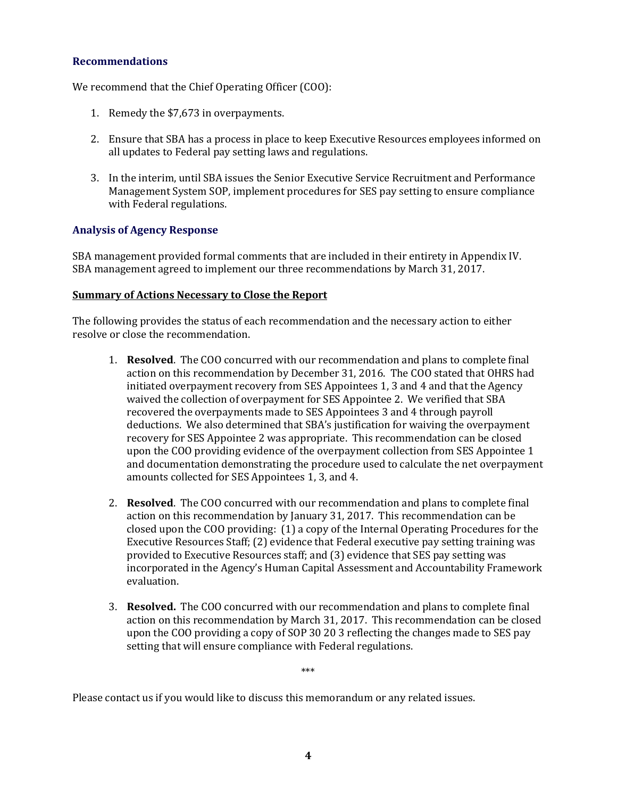#### **Recommendations**

We recommend that the Chief Operating Officer (COO):

- 1. Remedy the \$7,673 in overpayments.
- 2. Ensure that SBA has a process in place to keep Executive Resources employees informed on all updates to Federal pay setting laws and regulations.
- 3. In the interim, until SBA issues the Senior Executive Service Recruitment and Performance Management System SOP, implement procedures for SES pay setting to ensure compliance with Federal regulations.

#### **Analysis of Agency Response**

SBA management provided formal comments that are included in their entirety in Appendix IV. SBA management agreed to implement our three recommendations by March 31, 2017.

#### **Summary of Actions Necessary to Close the Report**

The following provides the status of each recommendation and the necessary action to either resolve or close the recommendation.

- 1. **Resolved**. The COO concurred with our recommendation and plans to complete final action on this recommendation by December 31, 2016. The COO stated that OHRS had initiated overpayment recovery from SES Appointees 1, 3 and 4 and that the Agency waived the collection of overpayment for SES Appointee 2. We verified that SBA recovered the overpayments made to SES Appointees 3 and 4 through payroll deductions. We also determined that SBA's justification for waiving the overpayment recovery for SES Appointee 2 was appropriate. This recommendation can be closed upon the COO providing evidence of the overpayment collection from SES Appointee 1 and documentation demonstrating the procedure used to calculate the net overpayment amounts collected for SES Appointees 1, 3, and 4.
- 2. **Resolved**. The COO concurred with our recommendation and plans to complete final action on this recommendation by January 31, 2017. This recommendation can be closed upon the COO providing: (1) a copy of the Internal Operating Procedures for the Executive Resources Staff; (2) evidence that Federal executive pay setting training was provided to Executive Resources staff; and (3) evidence that SES pay setting was incorporated in the Agency's Human Capital Assessment and Accountability Framework evaluation.
- 3. **Resolved.** The COO concurred with our recommendation and plans to complete final action on this recommendation by March 31, 2017. This recommendation can be closed upon the COO providing a copy of SOP 30 20 3 reflecting the changes made to SES pay setting that will ensure compliance with Federal regulations.

\*\*\*

Please contact us if you would like to discuss this memorandum or any related issues.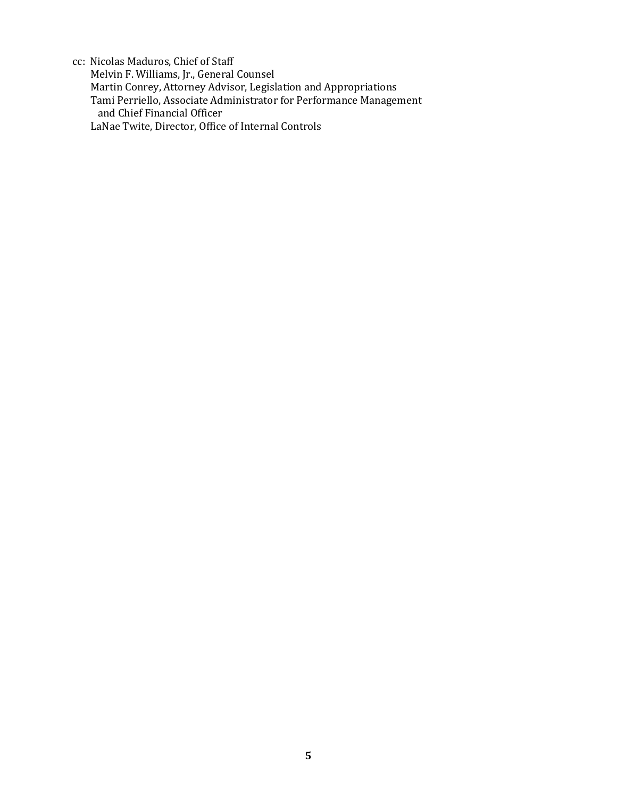cc: Nicolas Maduros, Chief of Staff Melvin F. Williams, Jr., General Counsel Martin Conrey, Attorney Advisor, Legislation and Appropriations Tami Perriello, Associate Administrator for Performance Management and Chief Financial Officer LaNae Twite, Director, Office of Internal Controls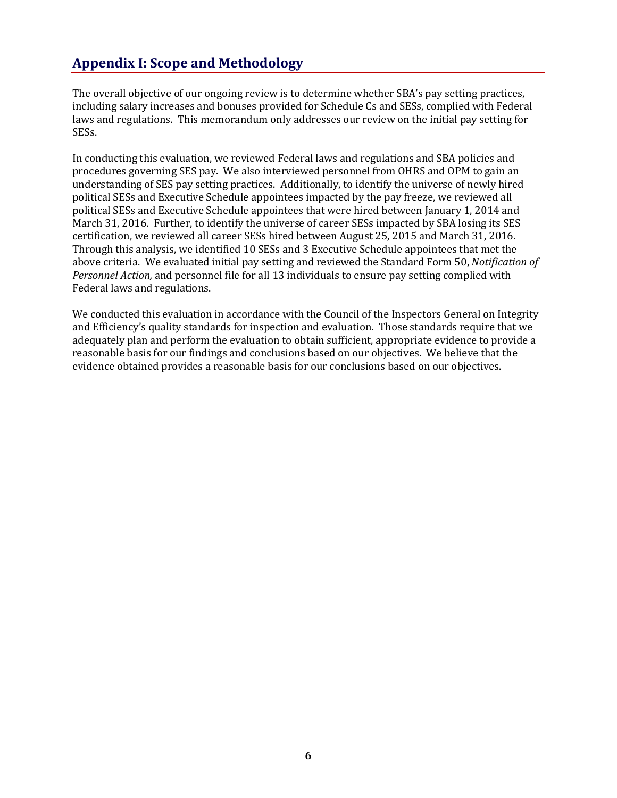# **Appendix I: Scope and Methodology**

The overall objective of our ongoing review is to determine whether SBA's pay setting practices, including salary increases and bonuses provided for Schedule Cs and SESs, complied with Federal laws and regulations. This memorandum only addresses our review on the initial pay setting for SESs.

In conducting this evaluation, we reviewed Federal laws and regulations and SBA policies and procedures governing SES pay. We also interviewed personnel from OHRS and OPM to gain an understanding of SES pay setting practices. Additionally, to identify the universe of newly hired political SESs and Executive Schedule appointees impacted by the pay freeze, we reviewed all political SESs and Executive Schedule appointees that were hired between January 1, 2014 and March 31, 2016. Further, to identify the universe of career SESs impacted by SBA losing its SES certification, we reviewed all career SESs hired between August 25, 2015 and March 31, 2016. Through this analysis, we identified 10 SESs and 3 Executive Schedule appointees that met the above criteria. We evaluated initial pay setting and reviewed the Standard Form 50, *Notification of Personnel Action,* and personnel file for all 13 individuals to ensure pay setting complied with Federal laws and regulations.

We conducted this evaluation in accordance with the Council of the Inspectors General on Integrity and Efficiency's quality standards for inspection and evaluation. Those standards require that we adequately plan and perform the evaluation to obtain sufficient, appropriate evidence to provide a reasonable basis for our findings and conclusions based on our objectives. We believe that the evidence obtained provides a reasonable basis for our conclusions based on our objectives.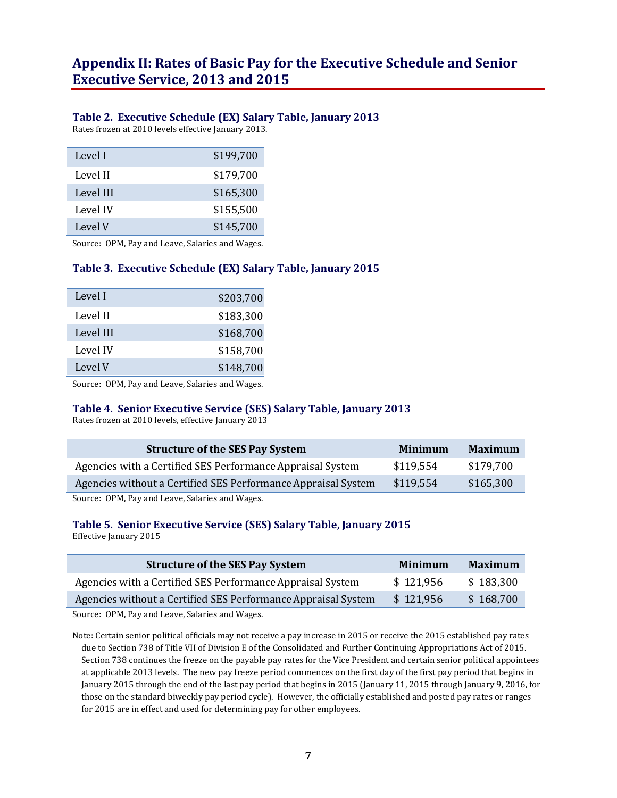# **Appendix II: Rates of Basic Pay for the Executive Schedule and Senior Executive Service, 2013 and 2015**

#### **Table 2. Executive Schedule (EX) Salary Table, January 2013**

Rates frozen at 2010 levels effective January 2013.

| Level I   | \$199,700 |
|-----------|-----------|
| Level II  | \$179,700 |
| Level III | \$165,300 |
| Level IV  | \$155,500 |
| Level V   | \$145,700 |

Source: OPM, Pay and Leave, Salaries and Wages.

#### **Table 3. Executive Schedule (EX) Salary Table, January 2015**

| Level I   | \$203,700 |
|-----------|-----------|
| Level II  | \$183,300 |
| Level III | \$168,700 |
| Level IV  | \$158,700 |
| Level V   | \$148,700 |

Source: OPM, Pay and Leave, Salaries and Wages.

#### **Table 4. Senior Executive Service (SES) Salary Table, January 2013**

Rates frozen at 2010 levels, effective January 2013

| <b>Structure of the SES Pay System</b>                        | Minimum   | <b>Maximum</b> |
|---------------------------------------------------------------|-----------|----------------|
| Agencies with a Certified SES Performance Appraisal System    | \$119.554 | \$179,700      |
| Agencies without a Certified SES Performance Appraisal System | \$119.554 | \$165,300      |
|                                                               |           |                |

Source: OPM, Pay and Leave, Salaries and Wages.

## **Table 5. Senior Executive Service (SES) Salary Table, January 2015**

Effective January 2015

| <b>Structure of the SES Pay System</b>                        | Minimum   | <b>Maximum</b> |
|---------------------------------------------------------------|-----------|----------------|
| Agencies with a Certified SES Performance Appraisal System    | \$121,956 | \$183,300      |
| Agencies without a Certified SES Performance Appraisal System | \$121,956 | \$168,700      |

Source: OPM, Pay and Leave, Salaries and Wages.

Note: Certain senior political officials may not receive a pay increase in 2015 or receive the 2015 established pay rates due to Section 738 of Title VII of Division E of the Consolidated and Further Continuing Appropriations Act of 2015. Section 738 continues the freeze on the payable pay rates for the Vice President and certain senior political appointees at applicable 2013 levels. The new pay freeze period commences on the first day of the first pay period that begins in January 2015 through the end of the last pay period that begins in 2015 (January 11, 2015 through January 9, 2016, for those on the standard biweekly pay period cycle). However, the officially established and posted pay rates or ranges for 2015 are in effect and used for determining pay for other employees.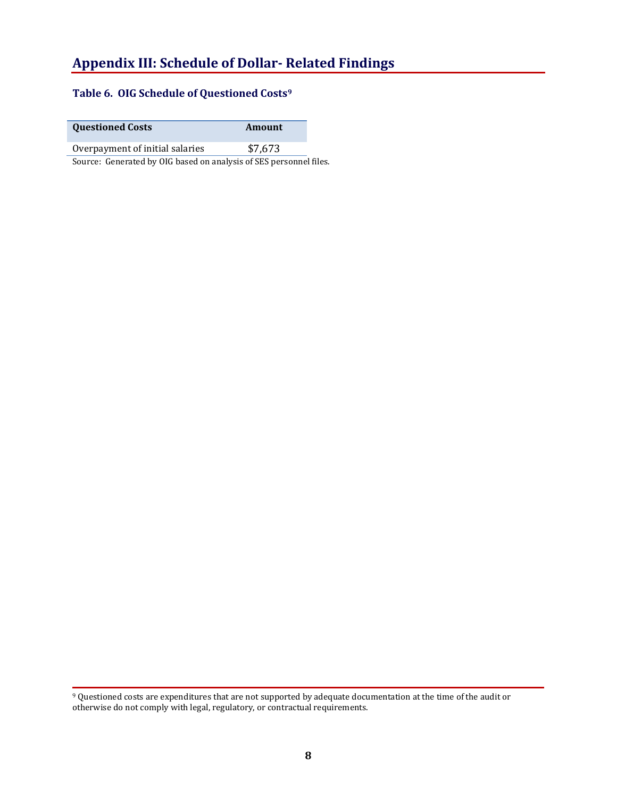# **Appendix III: Schedule of Dollar- Related Findings**

#### **Table 6. OIG Schedule of Questioned Costs[9](#page-7-0)**

**Questioned Costs Amount**

Overpayment of initial salaries \$7,673

Source: Generated by OIG based on analysis of SES personnel files.

<span id="page-7-0"></span><sup>9</sup> Questioned costs are expenditures that are not supported by adequate documentation at the time of the audit or otherwise do not comply with legal, regulatory, or contractual requirements.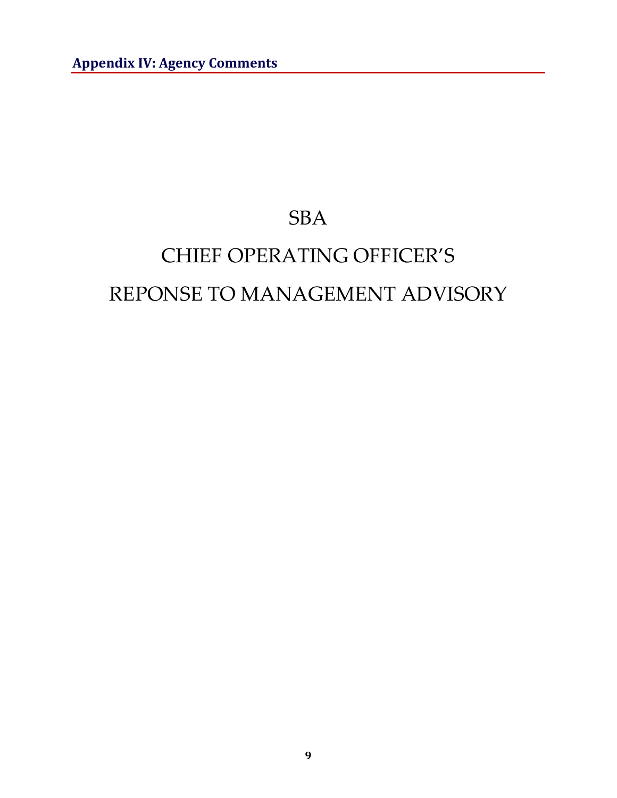# **SBA**

# CHIEF OPERATING OFFICER'S REPONSE TO MANAGEMENT ADVISORY